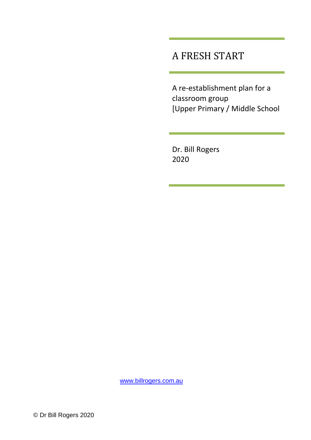### A FRESH START

A re-establishment plan for a classroom group [Upper Primary / Middle School

Dr. Bill Rogers 2020

[www.billrogers.com.au](http://www.billrogers.com.au/)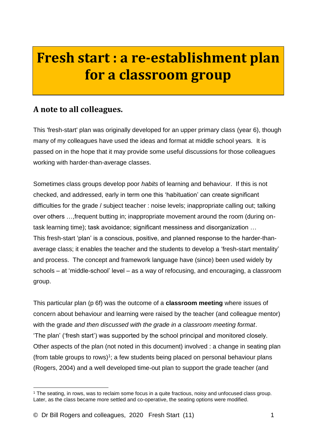# **Fresh start : a re-establishment plan for a classroom group**

#### **A note to all colleagues.**

This 'fresh-start' plan was originally developed for an upper primary class (year 6), though many of my colleagues have used the ideas and format at middle school years. It is passed on in the hope that it may provide some useful discussions for those colleagues working with harder-than-average classes.

Sometimes class groups develop poor *habits* of learning and behaviour. If this is not checked, and addressed, early in term one this 'habituation' can create significant difficulties for the grade / subject teacher : noise levels; inappropriate calling out; talking over others …,frequent butting in; inappropriate movement around the room (during ontask learning time); task avoidance; significant messiness and disorganization … This fresh-start 'plan' is a conscious, positive, and planned response to the harder-thanaverage class; it enables the teacher and the students to develop a 'fresh-start mentality' and process. The concept and framework language have (since) been used widely by schools – at 'middle-school' level – as a way of refocusing, and encouraging, a classroom group.

This particular plan (p 6f) was the outcome of a **classroom meeting** where issues of concern about behaviour and learning were raised by the teacher (and colleague mentor) with the grade *and then discussed with the grade in a classroom meeting format*. 'The plan' ('fresh start') was supported by the school principal and monitored closely. Other aspects of the plan (not noted in this document) involved : a change in seating plan (from table groups to rows)<sup>1</sup>; a few students being placed on personal behaviour plans (Rogers, 2004) and a well developed time-out plan to support the grade teacher (and

<sup>1</sup> The seating, in rows, was to reclaim some focus in a quite fractious, noisy and unfocused class group. Later, as the class became more settled and co-operative, the seating options were modified.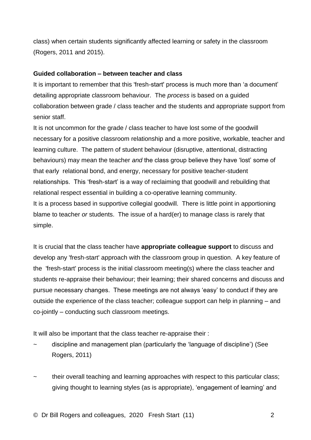class) when certain students significantly affected learning or safety in the classroom (Rogers, 2011 and 2015).

#### **Guided collaboration – between teacher and class**

It is important to remember that this 'fresh-start' process is much more than 'a document' detailing appropriate classroom behaviour. The *process* is based on a guided collaboration between grade / class teacher and the students and appropriate support from senior staff.

It is not uncommon for the grade / class teacher to have lost some of the goodwill necessary for a positive classroom relationship and a more positive, workable, teacher and learning culture. The pattern of student behaviour (disruptive, attentional, distracting behaviours) may mean the teacher *and* the class group believe they have 'lost' some of that early relational bond, and energy, necessary for positive teacher-student relationships. This 'fresh-start' is a way of reclaiming that goodwill and rebuilding that relational respect essential in building a co-operative learning community. It is a process based in supportive collegial goodwill. There is little point in apportioning blame to teacher *or* students. The issue of a hard(er) to manage class is rarely that simple.

It is crucial that the class teacher have **appropriate colleague support** to discuss and develop any 'fresh-start' approach with the classroom group in question. A key feature of the 'fresh-start' process is the initial classroom meeting(s) where the class teacher and students re-appraise their behaviour; their learning; their shared concerns and discuss and pursue necessary changes. These meetings are not always 'easy' to conduct if they are outside the experience of the class teacher; colleague support can help in planning – and co-jointly – conducting such classroom meetings.

It will also be important that the class teacher re-appraise their :

- ~ discipline and management plan (particularly the 'language of discipline') (See Rogers, 2011)
- their overall teaching and learning approaches with respect to this particular class; giving thought to learning styles (as is appropriate), 'engagement of learning' and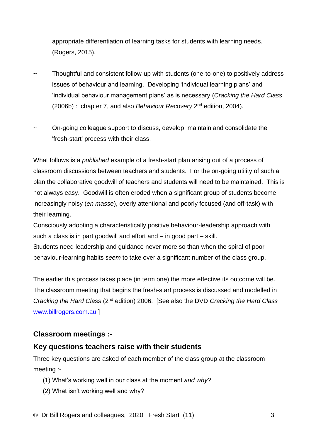appropriate differentiation of learning tasks for students with learning needs. (Rogers, 2015).

- Thoughtful and consistent follow-up with students (one-to-one) to positively address issues of behaviour and learning. Developing 'individual learning plans' and 'individual behaviour management plans' as is necessary (*Cracking the Hard Class* (2006b) :chapter 7, and also *Behaviour Recovery* 2 nd edition, 2004).
- ~ On-going colleague support to discuss, develop, maintain and consolidate the 'fresh-start' process with their class.

What follows is a *published* example of a fresh-start plan arising out of a process of classroom discussions between teachers and students. For the on-going utility of such a plan the collaborative goodwill of teachers and students will need to be maintained. This is not always easy. Goodwill is often eroded when a significant group of students become increasingly noisy (*en masse*), overly attentional and poorly focused (and off-task) with their learning.

Consciously adopting a characteristically positive behaviour-leadership approach with such a class is in part goodwill and effort and – in good part – skill.

Students need leadership and guidance never more so than when the spiral of poor behaviour-learning habits *seem* to take over a significant number of the class group.

The earlier this process takes place (in term one) the more effective its outcome will be. The classroom meeting that begins the fresh-start process is discussed and modelled in *Cracking the Hard Class* (2nd edition) 2006. [See also the DVD *Cracking the Hard Class* [www.billrogers.com.au](http://www.billrogers.com.au/) ]

#### **Classroom meetings :-**

#### **Key questions teachers raise with their students**

Three key questions are asked of each member of the class group at the classroom meeting :-

- (1) What's working well in our class at the moment *and why*?
- (2) What isn't working well and why?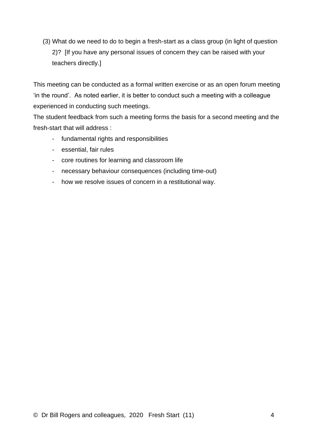(3) What do we need to do to begin a fresh-start as a class group (in light of question 2)? [If you have any personal issues of concern they can be raised with your teachers directly.]

This meeting can be conducted as a formal written exercise or as an open forum meeting 'in the round'. As noted earlier, it is better to conduct such a meeting with a colleague experienced in conducting such meetings.

The student feedback from such a meeting forms the basis for a second meeting and the fresh-start that will address :

- fundamental rights and responsibilities
- essential, fair rules
- core routines for learning and classroom life
- necessary behaviour consequences (including time-out)
- how we resolve issues of concern in a restitutional way.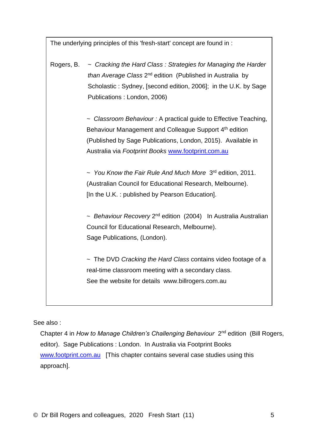The underlying principles of this 'fresh-start' concept are found in :

Rogers, B. ~ *Cracking the Hard Class : Strategies for Managing the Harder*  than Average Class 2<sup>nd</sup> edition (Published in Australia by Scholastic : Sydney, [second edition, 2006]; in the U.K. by Sage Publications : London, 2006)

> *~ Classroom Behaviour :* A practical guide to Effective Teaching, Behaviour Management and Colleague Support 4<sup>th</sup> edition (Published by Sage Publications, London, 2015). Available in Australia via *Footprint Books* [www.footprint.com.au](http://www.footprint.com.au/)

~ You Know the Fair Rule And Much More 3<sup>rd</sup> edition, 2011. (Australian Council for Educational Research, Melbourne). [In the U.K. : published by Pearson Education].

~ Behaviour Recovery 2<sup>nd</sup> edition (2004) In Australia Australian Council for Educational Research, Melbourne). Sage Publications, (London).

~ The DVD *Cracking the Hard Class* contains video footage of a real-time classroom meeting with a secondary class. See the website for details www.billrogers.com.au

See also :

Chapter 4 in How to Manage Children's Challenging Behaviour 2<sup>nd</sup> edition (Bill Rogers, editor). Sage Publications : London. In Australia via Footprint Books [www.footprint.com.au](http://www.footprint.com.au/) [This chapter contains several case studies using this approach].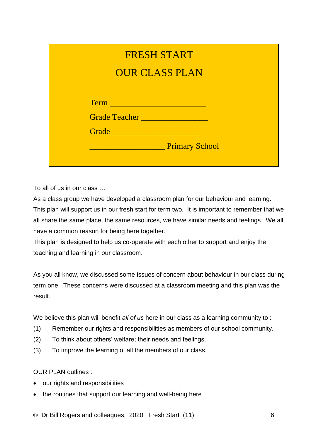|                     | <b>FRESH START</b>    |
|---------------------|-----------------------|
|                     | <b>OUR CLASS PLAN</b> |
|                     |                       |
| Term Term           |                       |
| Grade Teacher       |                       |
| Grade Communication |                       |
|                     | <b>Primary School</b> |

To all of us in our class …

As a class group we have developed a classroom plan for our behaviour and learning. This plan will support us in our fresh start for term two. It is important to remember that we all share the same place, the same resources, we have similar needs and feelings. We all have a common reason for being here together.

This plan is designed to help us co-operate with each other to support and enjoy the teaching and learning in our classroom.

As you all know, we discussed some issues of concern about behaviour in our class during term one. These concerns were discussed at a classroom meeting and this plan was the result.

We believe this plan will benefit *all of us* here in our class as a learning community to :

- (1) Remember our rights and responsibilities as members of our school community.
- (2) To think about others' welfare; their needs and feelings.
- (3) To improve the learning of all the members of our class.

OUR PLAN outlines :

- our rights and responsibilities
- the routines that support our learning and well-being here

© Dr Bill Rogers and colleagues, 2020 Fresh Start (11) 6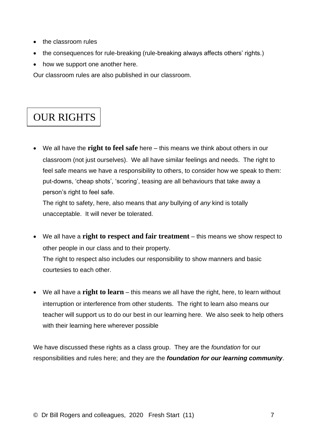- the classroom rules
- the consequences for rule-breaking (rule-breaking always affects others' rights.)
- how we support one another here.

Our classroom rules are also published in our classroom.

# OUR RIGHTS

• We all have the **right to feel safe** here – this means we think about others in our classroom (not just ourselves). We all have similar feelings and needs. The right to feel safe means we have a responsibility to others, to consider how we speak to them: put-downs, 'cheap shots', 'scoring', teasing are all behaviours that take away a person's right to feel safe.

The right to safety, here, also means that *any* bullying of *any* kind is totally unacceptable. It will never be tolerated.

- We all have a **right to respect and fair treatment** this means we show respect to other people in our class and to their property. The right to respect also includes our responsibility to show manners and basic courtesies to each other.
- We all have a **right to learn** this means we all have the right, here, to learn without interruption or interference from other students. The right to learn also means our teacher will support us to do our best in our learning here. We also seek to help others with their learning here wherever possible

We have discussed these rights as a class group. They are the *foundation* for our responsibilities and rules here; and they are the *foundation for our learning community*.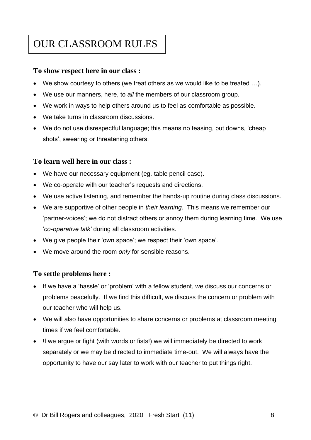# OUR CLASSROOM RULES

#### **To show respect here in our class :**

- We show courtesy to others (we treat others as we would like to be treated …).
- We use our manners, here, to *all* the members of our classroom group.
- We work in ways to help others around us to feel as comfortable as possible.
- We take turns in classroom discussions.
- We do not use disrespectful language; this means no teasing, put downs, 'cheap shots', swearing or threatening others.

#### **To learn well here in our class :**

- We have our necessary equipment (eg. table pencil case).
- We co-operate with our teacher's requests and directions.
- We use active listening, and remember the hands-up routine during class discussions.
- We are supportive of other people in *their learning*. This means we remember our 'partner-voices'; we do not distract others or annoy them during learning time. We use '*co-operative talk'* during all classroom activities.
- We give people their 'own space'; we respect their 'own space'.
- We move around the room *only* for sensible reasons.

#### **To settle problems here :**

- If we have a 'hassle' or 'problem' with a fellow student, we discuss our concerns or problems peacefully. If we find this difficult, we discuss the concern or problem with our teacher who will help us.
- We will also have opportunities to share concerns or problems at classroom meeting times if we feel comfortable.
- !f we argue or fight (with words or fists!) we will immediately be directed to work separately or we may be directed to immediate time-out. We will always have the opportunity to have our say later to work with our teacher to put things right.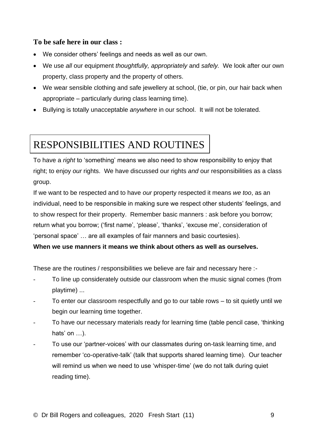#### **To be safe here in our class :**

- We consider others' feelings and needs as well as our own.
- We use *all* our equipment *thoughtfully, appropriately* and *safely.* We look after our own property, class property and the property of others.
- We wear sensible clothing and safe jewellery at school, (tie, or pin, our hair back when appropriate – particularly during class learning time).
- Bullying is totally unacceptable *anywhere* in our school. It will not be tolerated.

### RESPONSIBILITIES AND ROUTINES

To have a *right* to 'something' means we also need to show responsibility to enjoy that right; to enjoy *our* rights. We have discussed our rights *and* our responsibilities as a class group.

If we want to be respected and to have *our* property respected it means *we too*, as an individual, need to be responsible in making sure we respect other students' feelings, and to show respect for their property. Remember basic manners : ask before you borrow; return what you borrow; ('first name', 'please', 'thanks', 'excuse me', consideration of 'personal space' … are all examples of fair manners and basic courtesies). **When we use manners it means we think about others as well as ourselves.**

These are the routines / responsibilities we believe are fair and necessary here :-

- To line up considerately outside our classroom when the music signal comes (from playtime) ...
- To enter our classroom respectfully and go to our table rows to sit quietly until we begin our learning time together.
- To have our necessary materials ready for learning time (table pencil case, 'thinking hats' on ...).
- To use our 'partner-voices' with our classmates during on-task learning time, and remember 'co-operative-talk' (talk that supports shared learning time). Our teacher will remind us when we need to use 'whisper-time' (we do not talk during quiet reading time).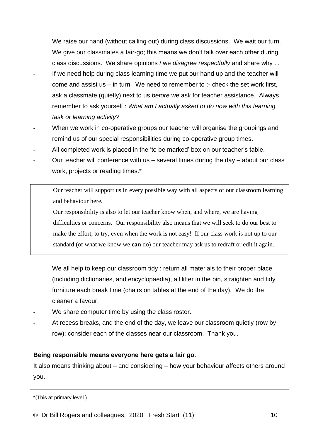- We raise our hand (without calling out) during class discussions. We wait our turn. We give our classmates a fair-go; this means we don't talk over each other during class discussions. We share opinions / we *disagree respectfully* and share why ...
- If we need help during class learning time we put our hand up and the teacher will come and assist us – in turn. We need to remember to :- check the set work first, ask a classmate (quietly) next to us *before* we ask for teacher assistance. Always remember to ask yourself : *What am I actually asked to do now with this learning task or learning activity?*
- When we work in co-operative groups our teacher will organise the groupings and remind us of our special responsibilities during co-operative group times.
- All completed work is placed in the 'to be marked' box on our teacher's table.
- Our teacher will conference with us  $-$  several times during the day  $-$  about our class work, projects or reading times.\*

Our teacher will support us in every possible way with all aspects of our classroom learning and behaviour here.

Our responsibility is also to let our teacher know when, and where, we are having difficulties or concerns. Our responsibility also means that we will seek to do our best to make the effort, to try, even when the work is not easy! If our class work is not up to our standard (of what we know we **can** do) our teacher may ask us to redraft or edit it again.

- We all help to keep our classroom tidy : return all materials to their proper place (including dictionaries, and encyclopaedia), all litter in the bin, straighten and tidy furniture each break time (chairs on tables at the end of the day). We do the cleaner a favour.
- We share computer time by using the class roster.
- At recess breaks, and the end of the day, we leave our classroom quietly (row by row); consider each of the classes near our classroom. Thank you.

#### **Being responsible means everyone here gets a fair go.**

It also means thinking about – and considering – how your behaviour affects others around you.

<sup>\*(</sup>This at primary level.)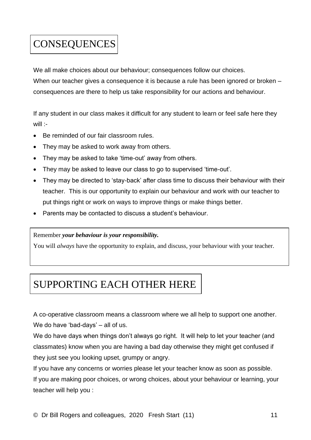# **CONSEQUENCES**

We all make choices about our behaviour; consequences follow our choices.

When our teacher gives a consequence it is because a rule has been ignored or broken – consequences are there to help us take responsibility for our actions and behaviour.

If any student in our class makes it difficult for any student to learn or feel safe here they will :-

- Be reminded of our fair classroom rules.
- They may be asked to work away from others.
- They may be asked to take 'time-out' away from others.
- They may be asked to leave our class to go to supervised 'time-out'.
- They may be directed to 'stay-back' after class time to discuss their behaviour with their teacher. This is our opportunity to explain our behaviour and work with our teacher to put things right or work on ways to improve things or make things better.
- Parents may be contacted to discuss a student's behaviour.

#### Remember *your behaviour is your responsibility.*

You will *always* have the opportunity to explain, and discuss, your behaviour with your teacher.

### SUPPORTING EACH OTHER HERE

A co-operative classroom means a classroom where we all help to support one another. We do have 'bad-days' – all of us.

We do have days when things don't always go right. It will help to let your teacher (and classmates) know when you are having a bad day otherwise they might get confused if they just see you looking upset, grumpy or angry.

If you have any concerns or worries please let your teacher know as soon as possible.

If you are making poor choices, or wrong choices, about your behaviour or learning, your teacher will help you :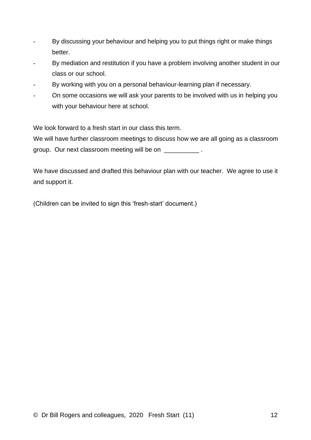- By discussing your behaviour and helping you to put things right or make things better.
- By mediation and restitution if you have a problem involving another student in our class or our school.
- By working with you on a personal behaviour-learning plan if necessary.
- On some occasions we will ask your parents to be involved with us in helping you with your behaviour here at school.

We look forward to a fresh start in our class this term.

We will have further classroom meetings to discuss how we are all going as a classroom group. Our next classroom meeting will be on \_\_\_\_\_\_\_\_\_\_\_\_.

We have discussed and drafted this behaviour plan with our teacher. We agree to use it and support it.

(Children can be invited to sign this 'fresh-start' document.)